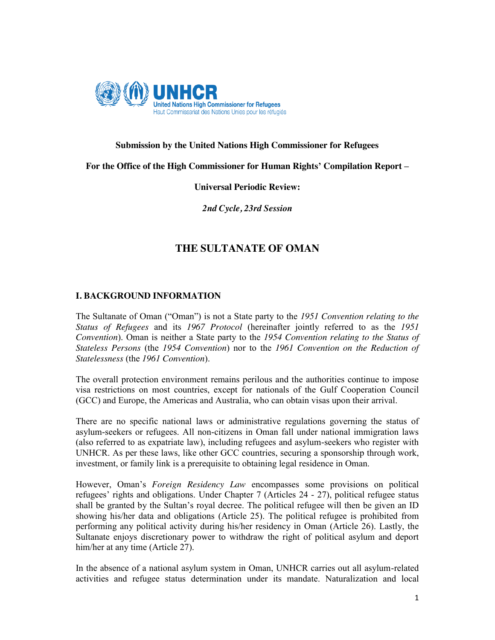

### **Submission by the United Nations High Commissioner for Refugees**

**For the Office of the High Commissioner for Human Rights' Compilation Report –**

## **Universal Periodic Review:**

*2nd Cycle, 23rd Session*

# **THE SULTANATE OF OMAN**

## **I. BACKGROUND INFORMATION**

The Sultanate of Oman ("Oman") is not a State party to the *1951 Convention relating to the Status of Refugees* and its *1967 Protocol* (hereinafter jointly referred to as the *1951 Convention*). Oman is neither a State party to the *1954 Convention relating to the Status of Stateless Persons* (the *1954 Convention*) nor to the *1961 Convention on the Reduction of Statelessness* (the *1961 Convention*).

The overall protection environment remains perilous and the authorities continue to impose visa restrictions on most countries, except for nationals of the Gulf Cooperation Council (GCC) and Europe, the Americas and Australia, who can obtain visas upon their arrival.

There are no specific national laws or administrative regulations governing the status of asylum-seekers or refugees. All non-citizens in Oman fall under national immigration laws (also referred to as expatriate law), including refugees and asylum-seekers who register with UNHCR. As per these laws, like other GCC countries, securing a sponsorship through work, investment, or family link is a prerequisite to obtaining legal residence in Oman.

However, Oman's *Foreign Residency Law* encompasses some provisions on political refugees' rights and obligations. Under Chapter 7 (Articles 24 - 27), political refugee status shall be granted by the Sultan's royal decree. The political refugee will then be given an ID showing his/her data and obligations (Article 25). The political refugee is prohibited from performing any political activity during his/her residency in Oman (Article 26). Lastly, the Sultanate enjoys discretionary power to withdraw the right of political asylum and deport him/her at any time (Article 27).

In the absence of a national asylum system in Oman, UNHCR carries out all asylum-related activities and refugee status determination under its mandate. Naturalization and local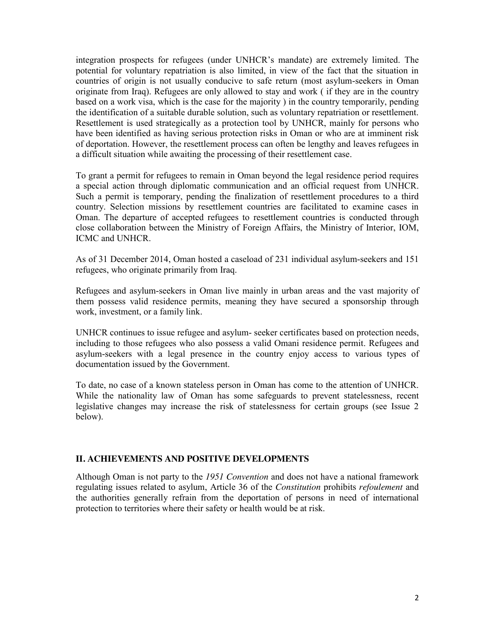integration prospects for refugees (under UNHCR's mandate) are extremely limited. The potential for voluntary repatriation is also limited, in view of the fact that the situation in countries of origin is not usually conducive to safe return (most asylum-seekers in Oman originate from Iraq). Refugees are only allowed to stay and work ( if they are in the country based on a work visa, which is the case for the majority ) in the country temporarily, pending the identification of a suitable durable solution, such as voluntary repatriation or resettlement. Resettlement is used strategically as a protection tool by UNHCR, mainly for persons who have been identified as having serious protection risks in Oman or who are at imminent risk of deportation. However, the resettlement process can often be lengthy and leaves refugees in a difficult situation while awaiting the processing of their resettlement case.

To grant a permit for refugees to remain in Oman beyond the legal residence period requires a special action through diplomatic communication and an official request from UNHCR. Such a permit is temporary, pending the finalization of resettlement procedures to a third country. Selection missions by resettlement countries are facilitated to examine cases in Oman. The departure of accepted refugees to resettlement countries is conducted through close collaboration between the Ministry of Foreign Affairs, the Ministry of Interior, IOM, ICMC and UNHCR.

As of 31 December 2014, Oman hosted a caseload of 231 individual asylum-seekers and 151 refugees, who originate primarily from Iraq.

Refugees and asylum-seekers in Oman live mainly in urban areas and the vast majority of them possess valid residence permits, meaning they have secured a sponsorship through work, investment, or a family link.

UNHCR continues to issue refugee and asylum- seeker certificates based on protection needs, including to those refugees who also possess a valid Omani residence permit. Refugees and asylum-seekers with a legal presence in the country enjoy access to various types of documentation issued by the Government.

To date, no case of a known stateless person in Oman has come to the attention of UNHCR. While the nationality law of Oman has some safeguards to prevent statelessness, recent legislative changes may increase the risk of statelessness for certain groups (see Issue 2 below).

#### **II. ACHIEVEMENTS AND POSITIVE DEVELOPMENTS**

Although Oman is not party to the *1951 Convention* and does not have a national framework regulating issues related to asylum, Article 36 of the *Constitution* prohibits *refoulement* and the authorities generally refrain from the deportation of persons in need of international protection to territories where their safety or health would be at risk.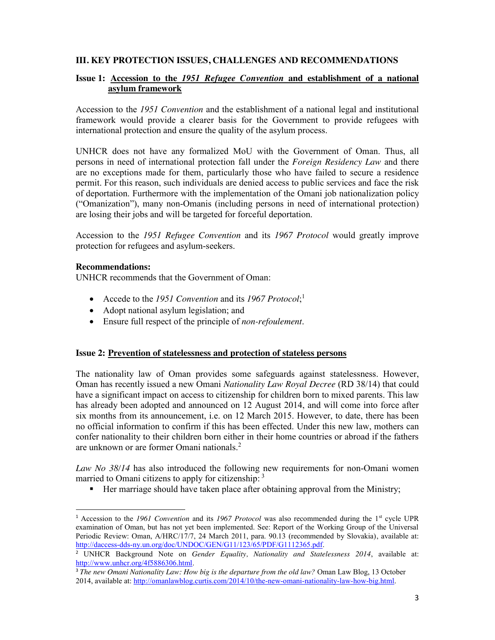## **III. KEY PROTECTION ISSUES, CHALLENGES AND RECOMMENDATIONS**

### **Issue 1: Accession to the** *1951 Refugee Convention* **and establishment of a national asylum framework**

Accession to the *1951 Convention* and the establishment of a national legal and institutional framework would provide a clearer basis for the Government to provide refugees with international protection and ensure the quality of the asylum process.

UNHCR does not have any formalized MoU with the Government of Oman. Thus, all persons in need of international protection fall under the *Foreign Residency Law* and there are no exceptions made for them, particularly those who have failed to secure a residence permit. For this reason, such individuals are denied access to public services and face the risk of deportation. Furthermore with the implementation of the Omani job nationalization policy ("Omanization"), many non-Omanis (including persons in need of international protection) are losing their jobs and will be targeted for forceful deportation.

Accession to the *1951 Refugee Convention* and its *1967 Protocol* would greatly improve protection for refugees and asylum-seekers.

#### **Recommendations:**

UNHCR recommends that the Government of Oman:

- Accede to the *1951 Convention* and its *1967 Protocol*;<sup>1</sup>
- Adopt national asylum legislation; and
- x Ensure full respect of the principle of *non-refoulement*.

#### **Issue 2: Prevention of statelessness and protection of stateless persons**

The nationality law of Oman provides some safeguards against statelessness. However, Oman has recently issued a new Omani *Nationality Law Royal Decree* (RD 38/14) that could have a significant impact on access to citizenship for children born to mixed parents. This law has already been adopted and announced on 12 August 2014, and will come into force after six months from its announcement, i.e. on 12 March 2015. However, to date, there has been no official information to confirm if this has been effected. Under this new law, mothers can confer nationality to their children born either in their home countries or abroad if the fathers are unknown or are former Omani nationals. 2

*Law No 38/14* has also introduced the following new requirements for non-Omani women married to Omani citizens to apply for citizenship: <sup>3</sup>

Her marriage should have taken place after obtaining approval from the Ministry;

 <sup>1</sup> Accession to the *1961 Convention* and its *1967 Protocol* was also recommended during the 1st cycle UPR examination of Oman, but has not yet been implemented. See: Report of the Working Group of the Universal Periodic Review: Oman, A/HRC/17/7, 24 March 2011, para. 90.13 (recommended by Slovakia), available at: http://daccess-dds-ny.un.org/doc/UNDOC/GEN/G11/123/65/PDF/G1112365.pdf.

<sup>2</sup> UNHCR Background Note on *Gender Equality, Nationality and Statelessness 2014*, available at: http://www.unhcr.org/4f5886306.html.

<sup>3</sup> *The new Omani Nationality Law: How big is the departure from the old law?* Oman Law Blog, 13 October 2014, available at: http://omanlawblog.curtis.com/2014/10/the-new-omani-nationality-law-how-big.html.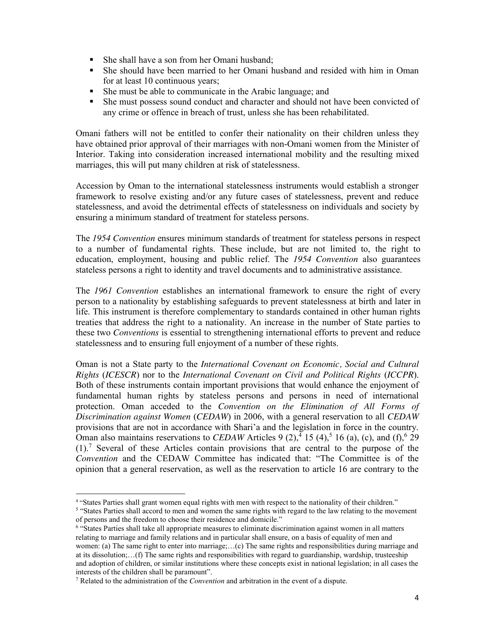- She shall have a son from her Omani husband;
- She should have been married to her Omani husband and resided with him in Oman for at least 10 continuous years;
- She must be able to communicate in the Arabic language; and
- She must possess sound conduct and character and should not have been convicted of any crime or offence in breach of trust, unless she has been rehabilitated.

Omani fathers will not be entitled to confer their nationality on their children unless they have obtained prior approval of their marriages with non-Omani women from the Minister of Interior. Taking into consideration increased international mobility and the resulting mixed marriages, this will put many children at risk of statelessness.

Accession by Oman to the international statelessness instruments would establish a stronger framework to resolve existing and/or any future cases of statelessness, prevent and reduce statelessness, and avoid the detrimental effects of statelessness on individuals and society by ensuring a minimum standard of treatment for stateless persons.

The *1954 Convention* ensures minimum standards of treatment for stateless persons in respect to a number of fundamental rights. These include, but are not limited to, the right to education, employment, housing and public relief. The *1954 Convention* also guarantees stateless persons a right to identity and travel documents and to administrative assistance.

The *1961 Convention* establishes an international framework to ensure the right of every person to a nationality by establishing safeguards to prevent statelessness at birth and later in life. This instrument is therefore complementary to standards contained in other human rights treaties that address the right to a nationality. An increase in the number of State parties to these two *Conventions* is essential to strengthening international efforts to prevent and reduce statelessness and to ensuring full enjoyment of a number of these rights.

Oman is not a State party to the *International Covenant on Economic, Social and Cultural Rights* (*ICESCR*) nor to the *International Covenant on Civil and Political Rights* (*ICCPR*). Both of these instruments contain important provisions that would enhance the enjoyment of fundamental human rights by stateless persons and persons in need of international protection. Oman acceded to the *Convention on the Elimination of All Forms of Discrimination against Women* (*CEDAW*) in 2006, with a general reservation to all *CEDAW* provisions that are not in accordance with Shari'a and the legislation in force in the country. Oman also maintains reservations to *CEDAW* Articles 9  $(2)$ ,  $\frac{4}{15}$  (4),  $\frac{5}{16}$  (a), (c), and (f),  $\frac{6}{29}$  $(1)$ .<sup>7</sup> Several of these Articles contain provisions that are central to the purpose of the *Convention* and the CEDAW Committee has indicated that: "The Committee is of the opinion that a general reservation, as well as the reservation to article 16 are contrary to the

 $\overline{a}$ 

<sup>4</sup> "States Parties shall grant women equal rights with men with respect to the nationality of their children."

<sup>5</sup> "States Parties shall accord to men and women the same rights with regard to the law relating to the movement of persons and the freedom to choose their residence and domicile."

<sup>6</sup> "States Parties shall take all appropriate measures to eliminate discrimination against women in all matters relating to marriage and family relations and in particular shall ensure, on a basis of equality of men and women: (a) The same right to enter into marriage;...(c) The same rights and responsibilities during marriage and at its dissolution;…(f) The same rights and responsibilities with regard to guardianship, wardship, trusteeship and adoption of children, or similar institutions where these concepts exist in national legislation; in all cases the interests of the children shall be paramount".

<sup>7</sup> Related to the administration of the *Convention* and arbitration in the event of a dispute.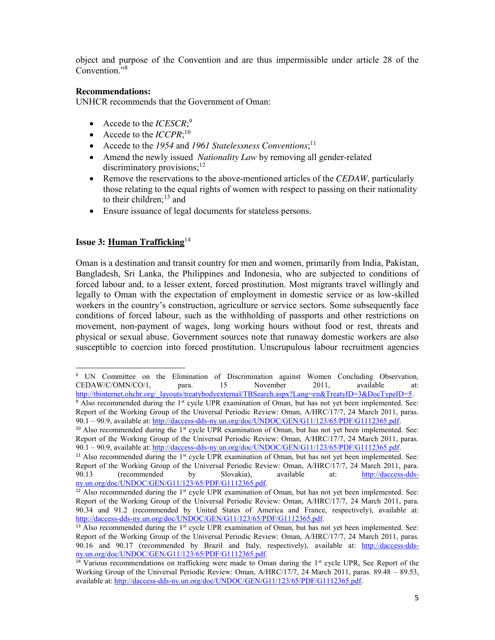object and purpose of the Convention and are thus impermissible under article 28 of the Convention."<sup>8</sup>

## **Recommendations:**

UNHCR recommends that the Government of Oman:

- Accede to the *ICESCR*;<sup>9</sup>
- Accede to the  $ICCPR$ ;<sup>10</sup>
- Accede to the *1954* and *1961 Statelessness Conventions*;<sup>11</sup>
- Amend the newly issued *Nationality Law* by removing all gender-related discriminatory provisions; $^{12}$
- Remove the reservations to the above-mentioned articles of the *CEDAW*, particularly those relating to the equal rights of women with respect to passing on their nationality to their children; $^{13}$  and
- Ensure issuance of legal documents for stateless persons.

## **Issue 3: Human Trafficking**<sup>14</sup>

Oman is a destination and transit country for men and women, primarily from India, Pakistan, Bangladesh, Sri Lanka, the Philippines and Indonesia, who are subjected to conditions of forced labour and, to a lesser extent, forced prostitution. Most migrants travel willingly and legally to Oman with the expectation of employment in domestic service or as low-skilled workers in the country's construction, agriculture or service sectors. Some subsequently face conditions of forced labour, such as the withholding of passports and other restrictions on movement, non-payment of wages, long working hours without food or rest, threats and physical or sexual abuse. Government sources note that runaway domestic workers are also susceptible to coercion into forced prostitution. Unscrupulous labour recruitment agencies

 $\overline{a}$ UN Committee on the Elimination of Discrimination against Women Concluding Observation, CEDAW/C/OMN/CO/1, para. 15 November 2011, available at: http://tbinternet.ohchr.org/\_layouts/treatybodyexternal/TBSearch.aspx?Lang=en&TreatyID=3&DocTypeID=5.

<sup>&</sup>lt;sup>9</sup> Also recommended during the 1<sup>st</sup> cycle UPR examination of Oman, but has not yet been implemented. See: Report of the Working Group of the Universal Periodic Review: Oman, A/HRC/17/7, 24 March 2011, paras. 90.1 – 90.9, available at: http://daccess-dds-ny.un.org/doc/UNDOC/GEN/G11/123/65/PDF/G1112365.pdf.

 $10$  Also recommended during the 1<sup>st</sup> cycle UPR examination of Oman, but has not yet been implemented. See: Report of the Working Group of the Universal Periodic Review: Oman, A/HRC/17/7, 24 March 2011, paras. 90.1 – 90.9, available at: http://daccess-dds-ny.un.org/doc/UNDOC/GEN/G11/123/65/PDF/G1112365.pdf.

<sup>&</sup>lt;sup>11</sup> Also recommended during the  $1<sup>st</sup>$  cycle UPR examination of Oman, but has not yet been implemented. See: Report of the Working Group of the Universal Periodic Review: Oman, A/HRC/17/7, 24 March 2011, para. 90.13 (recommended by Slovakia), available at: http://daccess-ddsny.un.org/doc/UNDOC/GEN/G11/123/65/PDF/G1112365.pdf.

<sup>&</sup>lt;sup>12</sup> Also recommended during the  $1<sup>st</sup>$  cycle UPR examination of Oman, but has not yet been implemented. See: Report of the Working Group of the Universal Periodic Review: Oman, A/HRC/17/7, 24 March 2011, para. 90.34 and 91.2 (recommended by United States of America and France, respectively), available at: http://daccess-dds-ny.un.org/doc/UNDOC/GEN/G11/123/65/PDF/G1112365.pdf.

 $13$  Also recommended during the  $1<sup>st</sup>$  cycle UPR examination of Oman, but has not yet been implemented. See: Report of the Working Group of the Universal Periodic Review: Oman, A/HRC/17/7, 24 March 2011, paras. 90.16 and 90.17 (recommended by Brazil and Italy, respectively), available at: http://daccess-ddsny.un.org/doc/UNDOC/GEN/G11/123/65/PDF/G1112365.pdf.

 $14$  Various recommendations on trafficking were made to Oman during the  $1<sup>st</sup>$  cycle UPR, See Report of the Working Group of the Universal Periodic Review: Oman, A/HRC/17/7, 24 March 2011, paras. 89.48 – 89.53, available at: http://daccess-dds-ny.un.org/doc/UNDOC/GEN/G11/123/65/PDF/G1112365.pdf.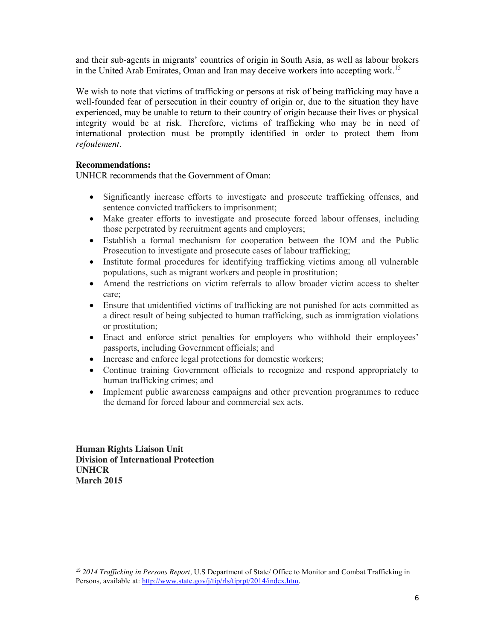and their sub-agents in migrants' countries of origin in South Asia, as well as labour brokers in the United Arab Emirates, Oman and Iran may deceive workers into accepting work. 15

We wish to note that victims of trafficking or persons at risk of being trafficking may have a well-founded fear of persecution in their country of origin or, due to the situation they have experienced, may be unable to return to their country of origin because their lives or physical integrity would be at risk. Therefore, victims of trafficking who may be in need of international protection must be promptly identified in order to protect them from *refoulement.*

## **Recommendations:**

UNHCR recommends that the Government of Oman:

- Significantly increase efforts to investigate and prosecute trafficking offenses, and sentence convicted traffickers to imprisonment;
- Make greater efforts to investigate and prosecute forced labour offenses, including those perpetrated by recruitment agents and employers;
- Establish a formal mechanism for cooperation between the IOM and the Public Prosecution to investigate and prosecute cases of labour trafficking;
- Institute formal procedures for identifying trafficking victims among all vulnerable populations, such as migrant workers and people in prostitution;
- Amend the restrictions on victim referrals to allow broader victim access to shelter care;
- Ensure that unidentified victims of trafficking are not punished for acts committed as a direct result of being subjected to human trafficking, such as immigration violations or prostitution;
- Enact and enforce strict penalties for employers who withhold their employees' passports, including Government officials; and
- Increase and enforce legal protections for domestic workers;
- Continue training Government officials to recognize and respond appropriately to human trafficking crimes; and
- Implement public awareness campaigns and other prevention programmes to reduce the demand for forced labour and commercial sex acts.

**Human Rights Liaison Unit Division of International Protection UNHCR March 2015**

 <sup>15</sup> *2014 Trafficking in Persons Report,* U.S Department of State/ Office to Monitor and Combat Trafficking in Persons, available at: http://www.state.gov/j/tip/rls/tiprpt/2014/index.htm.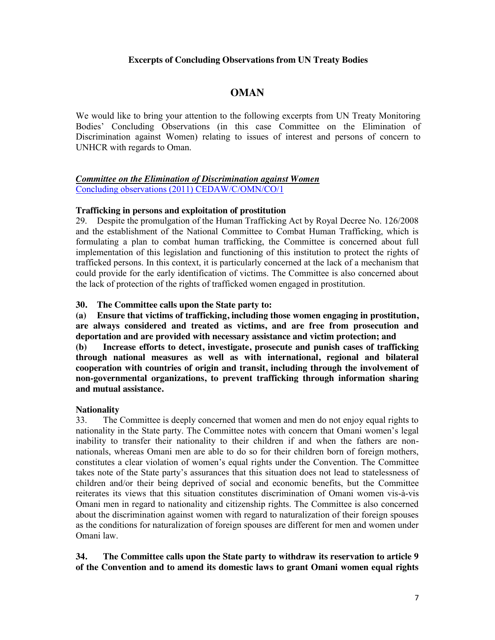## **Excerpts of Concluding Observations from UN Treaty Bodies**

## **OMAN**

We would like to bring your attention to the following excerpts from UN Treaty Monitoring Bodies' Concluding Observations (in this case Committee on the Elimination of Discrimination against Women) relating to issues of interest and persons of concern to UNHCR with regards to Oman.

#### *Committee on the Elimination of Discrimination against Women* Concluding observations (2011) CEDAW/C/OMN/CO/1

#### **Trafficking in persons and exploitation of prostitution**

29. Despite the promulgation of the Human Trafficking Act by Royal Decree No. 126/2008 and the establishment of the National Committee to Combat Human Trafficking, which is formulating a plan to combat human trafficking, the Committee is concerned about full implementation of this legislation and functioning of this institution to protect the rights of trafficked persons. In this context, it is particularly concerned at the lack of a mechanism that could provide for the early identification of victims. The Committee is also concerned about the lack of protection of the rights of trafficked women engaged in prostitution.

**30. The Committee calls upon the State party to:**

**(a) Ensure that victims of trafficking, including those women engaging in prostitution, are always considered and treated as victims, and are free from prosecution and deportation and are provided with necessary assistance and victim protection; and**

**(b) Increase efforts to detect, investigate, prosecute and punish cases of trafficking through national measures as well as with international, regional and bilateral cooperation with countries of origin and transit, including through the involvement of non-governmental organizations, to prevent trafficking through information sharing and mutual assistance.** 

#### **Nationality**

33. The Committee is deeply concerned that women and men do not enjoy equal rights to nationality in the State party. The Committee notes with concern that Omani women's legal inability to transfer their nationality to their children if and when the fathers are nonnationals, whereas Omani men are able to do so for their children born of foreign mothers, constitutes a clear violation of women's equal rights under the Convention. The Committee takes note of the State party's assurances that this situation does not lead to statelessness of children and/or their being deprived of social and economic benefits, but the Committee reiterates its views that this situation constitutes discrimination of Omani women vis-à-vis Omani men in regard to nationality and citizenship rights. The Committee is also concerned about the discrimination against women with regard to naturalization of their foreign spouses as the conditions for naturalization of foreign spouses are different for men and women under Omani law.

**34. The Committee calls upon the State party to withdraw its reservation to article 9 of the Convention and to amend its domestic laws to grant Omani women equal rights**